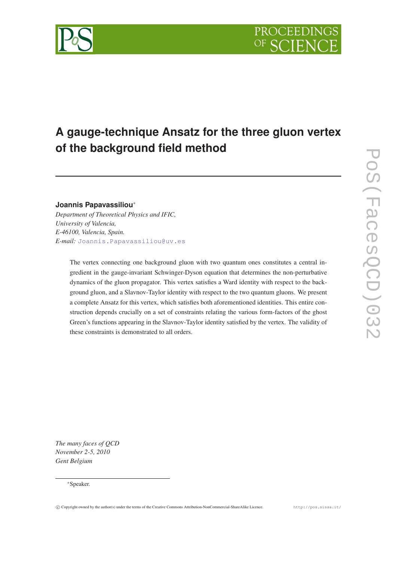# **A gauge-technique Ansatz for the three gluon vertex of the background field method**

## **Joannis Papavassiliou**<sup>∗</sup>

*Department of Theoretical Physics and IFIC, University of Valencia, E-46100, Valencia, Spain. E-mail:* [Joannis.Papavassiliou@uv.es](mailto:Joannis.Papavassiliou@uv.es)

> The vertex connecting one background gluon with two quantum ones constitutes a central ingredient in the gauge-invariant Schwinger-Dyson equation that determines the non-perturbative dynamics of the gluon propagator. This vertex satisfies a Ward identity with respect to the background gluon, and a Slavnov-Taylor identity with respect to the two quantum gluons. We present a complete Ansatz for this vertex, which satisfies both aforementioned identities. This entire construction depends crucially on a set of constraints relating the various form-factors of the ghost Green's functions appearing in the Slavnov-Taylor identity satisfied by the vertex. The validity of these constraints is demonstrated to all orders.

*The many faces of QCD November 2-5, 2010 Gent Belgium*



<sup>∗</sup>Speaker.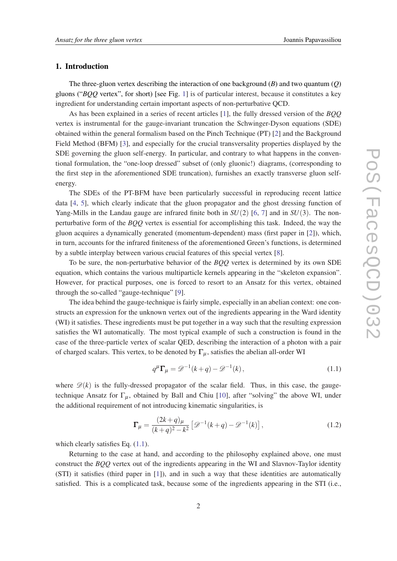#### 1. Introduction

The three-gluon vertex describing the interaction of one background (*B*) and two quantum (*Q*) gluons ("*BQQ* vertex", for short) [see Fig. [1\]](#page-2-0) is of particular interest, because it constitutes a key ingredient for understanding certain important aspects of non-perturbative QCD.

As has been explained in a series of recent articles [\[1\]](#page-9-0), the fully dressed version of the *BQQ* vertex is instrumental for the gauge-invariant truncation the Schwinger-Dyson equations (SDE) obtained within the general formalism based on the Pinch Technique (PT) [\[2\]](#page-9-0) and the Background Field Method (BFM) [[3](#page-9-0)], and especially for the crucial transversality properties displayed by the SDE governing the gluon self-energy. In particular, and contrary to what happens in the conventional formulation, the "one-loop dressed" subset of (only gluonic!) diagrams, (corresponding to the first step in the aforementioned SDE truncation), furnishes an exactly transverse gluon selfenergy.

The SDEs of the PT-BFM have been particularly successful in reproducing recent lattice data [\[4,](#page-9-0) [5\]](#page-9-0), which clearly indicate that the gluon propagator and the ghost dressing function of Yang-Mills in the Landau gauge are infrared finite both in *SU*(2) [\[6,](#page-9-0) [7](#page-9-0)] and in *SU*(3). The nonperturbative form of the *BQQ* vertex is essential for accomplishing this task. Indeed, the way the gluon acquires a dynamically generated (momentum-dependent) mass (first paper in [[2](#page-9-0)]), which, in turn, accounts for the infrared finiteness of the aforementioned Green's functions, is determined by a subtle interplay between various crucial features of this special vertex [[8](#page-9-0)].

To be sure, the non-perturbative behavior of the *BQQ* vertex is determined by its own SDE equation, which contains the various multiparticle kernels appearing in the "skeleton expansion". However, for practical purposes, one is forced to resort to an Ansatz for this vertex, obtained through the so-called "gauge-technique" [\[9\]](#page-9-0).

The idea behind the gauge-technique is fairly simple, especially in an abelian context: one constructs an expression for the unknown vertex out of the ingredients appearing in the Ward identity (WI) it satisfies. These ingredients must be put together in a way such that the resulting expression satisfies the WI automatically. The most typical example of such a construction is found in the case of the three-particle vertex of scalar QED, describing the interaction of a photon with a pair of charged scalars. This vertex, to be denoted by  $\Gamma_{\mu}$ , satisfies the abelian all-order WI

$$
q^{\mu}\Gamma_{\mu} = \mathcal{D}^{-1}(k+q) - \mathcal{D}^{-1}(k), \qquad (1.1)
$$

where  $\mathscr{D}(k)$  is the fully-dressed propagator of the scalar field. Thus, in this case, the gaugetechnique Ansatz for  $\Gamma_u$ , obtained by Ball and Chiu [[10\]](#page-9-0), after "solving" the above WI, under the additional requirement of not introducing kinematic singularities, is

$$
\Gamma_{\mu} = \frac{(2k+q)_{\mu}}{(k+q)^2 - k^2} \left[ \mathcal{D}^{-1}(k+q) - \mathcal{D}^{-1}(k) \right],
$$
\n(1.2)

which clearly satisfies Eq.  $(1.1)$ .

Returning to the case at hand, and according to the philosophy explained above, one must construct the *BQQ* vertex out of the ingredients appearing in the WI and Slavnov-Taylor identity (STI) it satisfies (third paper in [\[1\]](#page-9-0)), and in such a way that these identities are automatically satisfied. This is a complicated task, because some of the ingredients appearing in the STI (i.e.,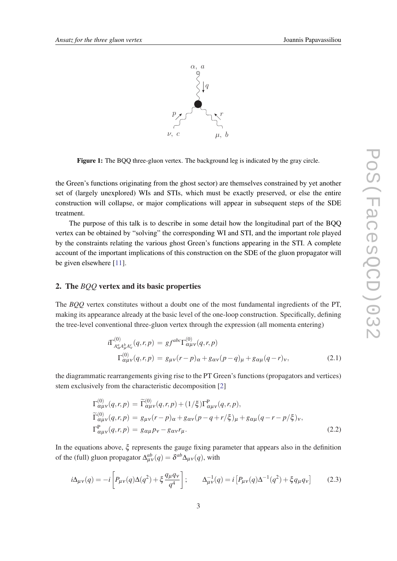<span id="page-2-0"></span>

Figure 1: The BQQ three-gluon vertex. The background leg is indicated by the gray circle.

the Green's functions originating from the ghost sector) are themselves constrained by yet another set of (largely unexplored) WIs and STIs, which must be exactly preserved, or else the entire construction will collapse, or major complications will appear in subsequent steps of the SDE treatment.

The purpose of this talk is to describe in some detail how the longitudinal part of the BQQ vertex can be obtained by "solving" the corresponding WI and STI, and the important role played by the constraints relating the various ghost Green's functions appearing in the STI. A complete account of the important implications of this construction on the SDE of the gluon propagator will be given elsewhere [[11\]](#page-9-0).

#### 2. The *BQQ* vertex and its basic properties

The *BQQ* vertex constitutes without a doubt one of the most fundamental ingredients of the PT, making its appearance already at the basic level of the one-loop construction. Specifically, defining the tree-level conventional three-gluon vertex through the expression (all momenta entering)

$$
i\Gamma_{A_{\alpha}^{a}A_{\mu}^{b}A_{\nu}^{c}}^{(0)}(q,r,p) = gf^{abc}\Gamma_{\alpha\mu\nu}^{(0)}(q,r,p)
$$
  

$$
\Gamma_{\alpha\mu\nu}^{(0)}(q,r,p) = g_{\mu\nu}(r-p)_{\alpha} + g_{\alpha\nu}(p-q)_{\mu} + g_{\alpha\mu}(q-r)_{\nu},
$$
 (2.1)

the diagrammatic rearrangements giving rise to the PT Green's functions (propagators and vertices) stem exclusively from the characteristic decomposition [[2](#page-9-0)]

$$
\Gamma_{\alpha\mu\nu}^{(0)}(q,r,p) = \widetilde{\Gamma}_{\alpha\mu\nu}^{(0)}(q,r,p) + (1/\xi)\Gamma_{\alpha\mu\nu}^{\text{P}}(q,r,p),
$$
\n
$$
\widetilde{\Gamma}_{\alpha\mu\nu}^{(0)}(q,r,p) = g_{\mu\nu}(r-p)_{\alpha} + g_{\alpha\nu}(p-q+r/\xi)_{\mu} + g_{\alpha\mu}(q-r-p/\xi)_{\nu},
$$
\n
$$
\Gamma_{\alpha\mu\nu}^{\text{P}}(q,r,p) = g_{\alpha\mu}p_{\nu} - g_{\alpha\nu}r_{\mu}.
$$
\n(2.2)

In the equations above, ξ represents the gauge fixing parameter that appears also in the definition of the (full) gluon propagator  $\Delta_{\mu\nu}^{ab}(q) = \delta^{ab}\Delta_{\mu\nu}(q)$ , with

$$
i\Delta_{\mu\nu}(q) = -i \left[ P_{\mu\nu}(q) \Delta(q^2) + \xi \frac{q_{\mu}q_{\nu}}{q^4} \right]; \qquad \Delta_{\mu\nu}^{-1}(q) = i \left[ P_{\mu\nu}(q) \Delta^{-1}(q^2) + \xi q_{\mu}q_{\nu} \right] \tag{2.3}
$$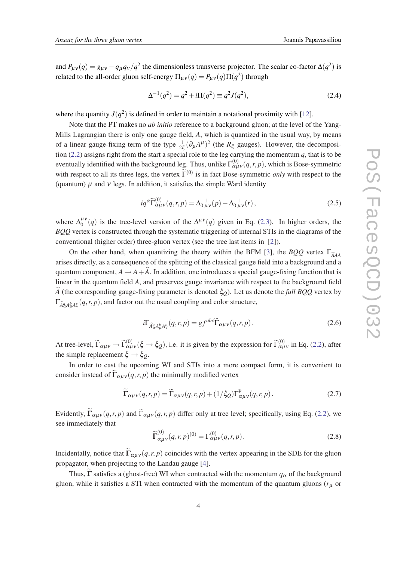and  $P_{\mu\nu}(q) = g_{\mu\nu} - q_{\mu}q_{\nu}/q^2$  the dimensionless transverse projector. The scalar co-factor  $\Delta(q^2)$  is related to the all-order gluon self-energy  $\Pi_{\mu\nu}(q) = P_{\mu\nu}(q) \Pi(q^2)$  through

$$
\Delta^{-1}(q^2) = q^2 + i\Pi(q^2) \equiv q^2 J(q^2),\tag{2.4}
$$

where the quantity  $J(q^2)$  is defined in order to maintain a notational proximity with [\[12](#page-9-0)].

Note that the PT makes no *ab initio* reference to a background gluon; at the level of the Yang-Mills Lagrangian there is only one gauge field, *A*, which is quantized in the usual way, by means of a linear gauge-fixing term of the type  $\frac{1}{2\xi}(\partial_\mu A^\mu)^2$  (the  $R_\xi$  gauges). However, the decomposi-tion [\(2.2\)](#page-2-0) assigns right from the start a special role to the leg carrying the momentum  $q$ , that is to be eventually identified with the background leg. Thus, unlike  $\Gamma^{(0)}_{\alpha\mu\nu}(q,r,p)$ , which is Bose-symmetric with respect to all its three legs, the vertex  $\tilde{\Gamma}^{(0)}$  is in fact Bose-symmetric *only* with respect to the (quantum)  $\mu$  and  $\nu$  legs. In addition, it satisfies the simple Ward identity

$$
iq^{\alpha}\widetilde{\Gamma}_{\alpha\mu\nu}^{(0)}(q,r,p) = \Delta_{0\,\mu\nu}^{-1}(p) - \Delta_{0\,\mu\nu}^{-1}(r) , \qquad (2.5)
$$

where  $\Delta_0^{\mu\nu}$  $_{0}^{\mu\nu}(q)$  is the tree-level version of the  $\Delta^{\mu\nu}(q)$  given in Eq. [\(2.3](#page-2-0)). In higher orders, the *BQQ* vertex is constructed through the systematic triggering of internal STIs in the diagrams of the conventional (higher order) three-gluon vertex (see the tree last items in [\[2\]](#page-9-0)).

On the other hand, when quantizing the theory within the BFM [[3\]](#page-9-0), the *BQQ* vertex  $\Gamma_{\hat{A}AA}$ arises directly, as a consequence of the splitting of the classical gauge field into a background and a quantum component,  $A \rightarrow A + A$ . In addition, one introduces a special gauge-fixing function that is linear in the quantum field *A*, and preserves gauge invariance with respect to the background field *A* (the corresponding gauge-fixing parameter is denoted  $\xi_0$ ). Let us denote the *full BQQ* vertex by  $\Gamma_{\hat{A}^a_{\alpha}A^b_{\mu}A^c_{\nu}}(q,r,p)$ , and factor out the usual coupling and color structure,

$$
i\Gamma_{\widehat{A}^a_{\alpha}A^b_{\mu}A^c_{\nu}}(q,r,p) = gf^{abc}\widetilde{\Gamma}_{\alpha\mu\nu}(q,r,p). \tag{2.6}
$$

At tree-level,  $\widetilde{\Gamma}_{\alpha\mu\nu} \to \widetilde{\Gamma}_{\alpha\mu\nu}^{(0)}(\xi \to \xi_Q)$ , i.e. it is given by the expression for  $\widetilde{\Gamma}_{\alpha\mu\nu}^{(0)}$  in Eq. [\(2.2\)](#page-2-0), after the simple replacement  $\xi \rightarrow \xi_0$ .

In order to cast the upcoming WI and STIs into a more compact form, it is convenient to consider instead of  $\widetilde{\Gamma}_{\alpha\mu\nu}(q,r,p)$  the minimally modified vertex

$$
\widetilde{\Gamma}_{\alpha\mu\nu}(q,r,p) = \widetilde{\Gamma}_{\alpha\mu\nu}(q,r,p) + (1/\xi_Q)\Gamma^P_{\alpha\mu\nu}(q,r,p). \tag{2.7}
$$

Evidently,  $\Gamma_{\alpha\mu\nu}(q,r,p)$  and  $\Gamma_{\alpha\mu\nu}(q,r,p)$  differ only at tree level; specifically, using Eq. [\(2.2\)](#page-2-0), we see immediately that

$$
\widetilde{\Gamma}^{(0)}_{\alpha\mu\nu}(q,r,p)^{(0)} = \Gamma^{(0)}_{\alpha\mu\nu}(q,r,p). \tag{2.8}
$$

Incidentally, notice that  $\Gamma_{\alpha\mu\nu}(q,r,p)$  coincides with the vertex appearing in the SDE for the gluon propagator, when projecting to the Landau gauge [[4](#page-9-0)].

Thus,  $\Gamma$  satisfies a (ghost-free) WI when contracted with the momentum  $q_\alpha$  of the background gluon, while it satisfies a STI when contracted with the momentum of the quantum gluons ( $r<sub>\mu</sub>$  or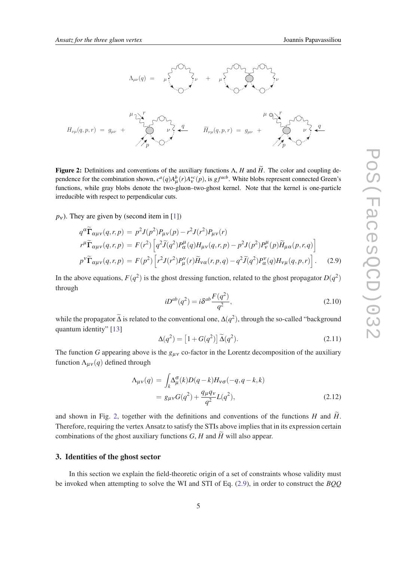<span id="page-4-0"></span>

**Figure 2:** Definitions and conventions of the auxiliary functions  $\Lambda$ , *H* and  $\tilde{H}$ . The color and coupling dependence for the combination shown,  $c^a(q)A^b_\mu(r)A^{*c}_\nu(p)$ , is  $gf^{acb}$ . White blobs represent connected Green's functions, while gray blobs denote the two-gluon–two-ghost kernel. Note that the kernel is one-particle irreducible with respect to perpendicular cuts.

 $p_v$ ). They are given by (second item in [\[1\]](#page-9-0))

$$
q^{\alpha}\widetilde{\Gamma}_{\alpha\mu\nu}(q,r,p) = p^2 J(p^2)P_{\mu\nu}(p) - r^2 J(r^2)P_{\mu\nu}(r)
$$
  
\n
$$
r^{\mu}\widetilde{\Gamma}_{\alpha\mu\nu}(q,r,p) = F(r^2) \left[ q^2 \widetilde{J}(q^2)P_{\alpha}^{\mu}(q)H_{\mu\nu}(q,r,p) - p^2 J(p^2)P_{\nu}^{\mu}(p)\widetilde{H}_{\mu\alpha}(p,r,q) \right]
$$
  
\n
$$
p^{\nu}\widetilde{\Gamma}_{\alpha\mu\nu}(q,r,p) = F(p^2) \left[ r^2 J(r^2)P_{\mu}^{\nu}(r)\widetilde{H}_{\nu\alpha}(r,p,q) - q^2 \widetilde{J}(q^2)P_{\alpha}^{\nu}(q)H_{\nu\mu}(q,p,r) \right].
$$
 (2.9)

In the above equations,  $F(q^2)$  is the ghost dressing function, related to the ghost propagator  $D(q^2)$ through

$$
iD^{ab}(q^2) = i\delta^{ab}\frac{F(q^2)}{q^2},\qquad(2.10)
$$

while the propagator  $\tilde{\Delta}$  is related to the conventional one,  $\Delta(q^2)$ , through the so-called "background" quantum identity" [[13\]](#page-9-0)

$$
\Delta(q^2) = \left[1 + G(q^2)\right]\widetilde{\Delta}(q^2). \tag{2.11}
$$

The function *G* appearing above is the  $g_{\mu\nu}$  co-factor in the Lorentz decomposition of the auxiliary function  $\Lambda_{\mu\nu}(q)$  defined through

$$
\Lambda_{\mu\nu}(q) = \int_{k} \Delta_{\mu}^{\sigma}(k) D(q-k) H_{\nu\sigma}(-q, q-k, k) \n= g_{\mu\nu} G(q^2) + \frac{q_{\mu} q_{\nu}}{q^2} L(q^2),
$$
\n(2.12)

and shown in Fig. 2, together with the definitions and conventions of the functions  $H$  and  $H$ . Therefore, requiring the vertex Ansatz to satisfy the STIs above implies that in its expression certain combinations of the ghost auxiliary functions  $G$ ,  $H$  and  $\widetilde{H}$  will also appear.

#### 3. Identities of the ghost sector

In this section we explain the field-theoretic origin of a set of constraints whose validity must be invoked when attempting to solve the WI and STI of Eq. (2.9), in order to construct the *BQQ*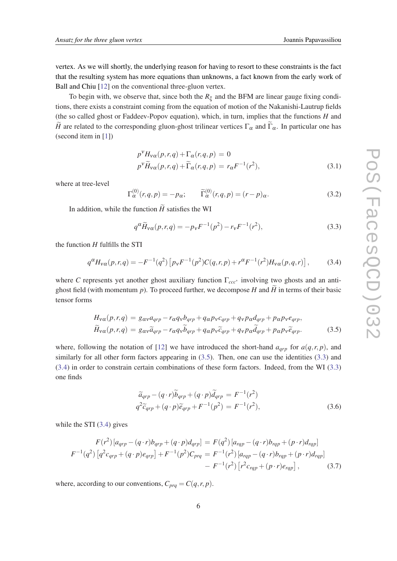<span id="page-5-0"></span>vertex. As we will shortly, the underlying reason for having to resort to these constraints is the fact that the resulting system has more equations than unknowns, a fact known from the early work of Ball and Chiu [\[12](#page-9-0)] on the conventional three-gluon vertex.

To begin with, we observe that, since both the  $R_{\xi}$  and the BFM are linear gauge fixing conditions, there exists a constraint coming from the equation of motion of the Nakanishi-Lautrup fields (the so called ghost or Faddeev-Popov equation), which, in turn, implies that the functions *H* and *H* are related to the corresponding gluon-ghost trilinear vertices  $\Gamma_{\alpha}$  and  $\widetilde{\Gamma}_{\alpha}$ . In particular one has (second item in [[1](#page-9-0)])

$$
p^{V}H_{V\alpha}(p,r,q) + \Gamma_{\alpha}(r,q,p) = 0
$$
  
\n
$$
p^{V}\widetilde{H}_{V\alpha}(p,r,q) + \widetilde{\Gamma}_{\alpha}(r,q,p) = r_{\alpha}F^{-1}(r^{2}),
$$
\n(3.1)

where at tree-level

$$
\Gamma_{\alpha}^{(0)}(r,q,p) = -p_{\alpha}; \qquad \widetilde{\Gamma}_{\alpha}^{(0)}(r,q,p) = (r-p)_{\alpha}.
$$
\n(3.2)

In addition, while the function  $\widetilde{H}$  satisfies the WI

$$
q^{\alpha} \widetilde{H}_{V\alpha}(p,r,q) = -p_V F^{-1}(p^2) - r_V F^{-1}(r^2),
$$
\n(3.3)

the function *H* fulfills the STI

$$
q^{\alpha}H_{\nu\alpha}(p,r,q) = -F^{-1}(q^2)\left[p_{\nu}F^{-1}(p^2)C(q,r,p) + r^{\alpha}F^{-1}(r^2)H_{\nu\alpha}(p,q,r)\right],\tag{3.4}
$$

where *C* represents yet another ghost auxiliary function Γ*ccc*<sup>∗</sup> involving two ghosts and an antighost field (with momentum  $p$ ). To proceed further, we decompose  $H$  and  $\widetilde{H}$  in terms of their basic tensor forms

$$
H_{\nu\alpha}(p,r,q) = g_{\alpha\nu}a_{qrp} - r_{\alpha}q_{\nu}b_{qrp} + q_{\alpha}p_{\nu}c_{qrp} + q_{\nu}p_{\alpha}d_{qrp} + p_{\alpha}p_{\nu}e_{qrp},
$$
  
\n
$$
\widetilde{H}_{\nu\alpha}(p,r,q) = g_{\alpha\nu}\widetilde{a}_{qrp} - r_{\alpha}q_{\nu}\widetilde{b}_{qrp} + q_{\alpha}p_{\nu}\widetilde{c}_{qrp} + q_{\nu}p_{\alpha}\widetilde{d}_{qrp} + p_{\alpha}p_{\nu}\widetilde{e}_{qrp}.
$$
\n(3.5)

where, following the notation of [\[12](#page-9-0)] we have introduced the short-hand  $a_{arp}$  for  $a(q, r, p)$ , and similarly for all other form factors appearing in (3.5). Then, one can use the identities (3.3) and (3.4) in order to constrain certain combinations of these form factors. Indeed, from the WI (3.3) one finds

$$
\widetilde{a}_{qrp} - (q \cdot r) \widetilde{b}_{qrp} + (q \cdot p) \widetilde{d}_{qrp} = F^{-1}(r^2) \n q^2 \widetilde{c}_{qrp} + (q \cdot p) \widetilde{e}_{qrp} + F^{-1}(p^2) = F^{-1}(r^2),
$$
\n(3.6)

while the STI (3.4) gives

$$
F(r^2) [a_{qrp} - (q \cdot r) b_{qrp} + (q \cdot p) d_{qrp}] = F(q^2) [a_{rqp} - (q \cdot r) b_{rqp} + (p \cdot r) d_{rqp}]
$$
  

$$
F^{-1}(q^2) [q^2 c_{qrp} + (q \cdot p) e_{qrp}] + F^{-1}(p^2) C_{prq} = F^{-1}(r^2) [a_{rqp} - (q \cdot r) b_{rqp} + (p \cdot r) d_{rqp}]
$$
  

$$
- F^{-1}(r^2) [r^2 c_{rqp} + (p \cdot r) e_{rqp}], \qquad (3.7)
$$

where, according to our conventions,  $C_{prq} = C(q, r, p)$ .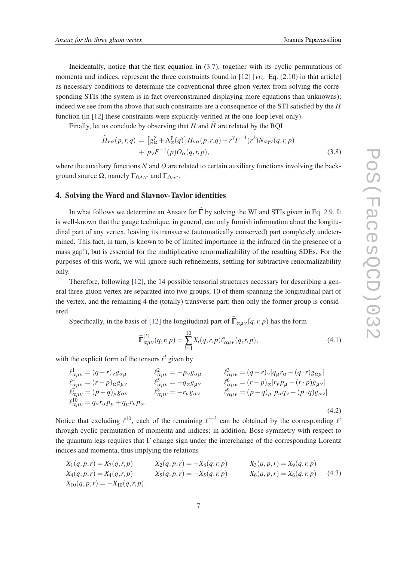<span id="page-6-0"></span>Incidentally, notice that the first equation in ([3.7](#page-5-0)), together with its cyclic permutations of momenta and indices, represent the three constraints found in [[12\]](#page-9-0) [*viz.* Eq. (2.10) in that article] as necessary conditions to determine the conventional three-gluon vertex from solving the corresponding STIs (the system is in fact overconstrained displaying more equations than unknowns); indeed we see from the above that such constraints are a consequence of the STI satisfied by the *H* function (in [[12\]](#page-9-0) these constraints were explicitly verified at the one-loop level only).

Finally, let us conclude by observing that  $H$  and  $H$  are related by the BQI

$$
\widetilde{H}_{\nu\alpha}(p,r,q) = \left[g_{\alpha}^{\gamma} + \Lambda_{\alpha}^{\gamma}(q)\right]H_{\nu\alpha}(p,r,q) - r^{\gamma}F^{-1}(r^2)N_{\alpha\gamma\nu}(q,r,p) \n+ p_{\nu}F^{-1}(p)O_{\alpha}(q,r,p),
$$
\n(3.8)

where the auxiliary functions *N* and *O* are related to certain auxiliary functions involving the background source Ω, namely ΓΩ*AA*<sup>∗</sup> and ΓΩ*cc*<sup>∗</sup> .

## 4. Solving the Ward and Slavnov-Taylor identities

In what follows we determine an Ansatz for  $\tilde{\Gamma}$  by solving the WI and STIs given in Eq. [2.9](#page-4-0). It is well-known that the gauge technique, in general, can only furnish information about the longitudinal part of any vertex, leaving its transverse (automatically conserved) part completely undetermined. This fact, in turn, is known to be of limited importance in the infrared (in the presence of a mass gap!), but is essential for the multiplicative renormalizability of the resulting SDEs. For the purposes of this work, we will ignore such refinements, settling for subtractive renormalizability only.

Therefore, following [[12\]](#page-9-0), the 14 possible tensorial structures necessary for describing a general three-gluon vertex are separated into two groups, 10 of them spanning the longitudinal part of the vertex, and the remaining 4 the (totally) transverse part; then only the former group is considered.

Specifically, in the basis of [\[12](#page-9-0)] the longitudinal part of  $\Gamma_{\alpha\mu\nu}(q,r,p)$  has the form

$$
\widetilde{\Gamma}_{\alpha\mu\nu}^{(\ell)}(q,r,p) = \sum_{i=1}^{10} X_i(q,r,p) \ell_{\alpha\mu\nu}^i(q,r,p), \qquad (4.1)
$$

with the explicit form of the tensors  $\ell^i$  given by

$$
\ell_{\alpha\mu\nu}^1 = (q - r)_\nu g_{\alpha\mu} \qquad \qquad \ell_{\alpha\mu\nu}^2 = -p_\nu g_{\alpha\mu} \qquad \qquad \ell_{\alpha\mu\nu}^3 = (q - r)_\nu [q_\mu r_\alpha - (q \cdot r)g_{\alpha\mu}] \n\ell_{\alpha\mu\nu}^4 = (r - p)_{\alpha} g_{\mu\nu} \qquad \qquad \ell_{\alpha\mu\nu}^5 = -q_{\alpha} g_{\mu\nu} \qquad \qquad \ell_{\alpha\mu\nu}^6 = (r - p)_{\alpha} [r_\nu p_\mu - (r \cdot p)g_{\mu\nu}] \n\ell_{\alpha\mu\nu}^7 = (p - q)_{\mu} g_{\alpha\nu} \qquad \qquad \ell_{\alpha\mu\nu}^8 = -r_{\mu} g_{\alpha\nu} \qquad \qquad \ell_{\alpha\mu\nu}^9 = (p - q)_{\mu} [p_{\alpha} q_{\nu} - (p \cdot q)g_{\alpha\nu}] \n\ell_{\alpha\mu\nu}^{10} = q_{\nu} r_{\alpha} p_{\mu} + q_{\mu} r_{\nu} p_{\alpha}.
$$
\n(4.2)

Notice that excluding  $\ell^{10}$ , each of the remaining  $\ell^{i+3}$  can be obtained by the corresponding  $\ell^i$ through cyclic permutation of momenta and indices; in addition, Bose symmetry with respect to the quantum legs requires that Γ change sign under the interchange of the corresponding Lorentz indices and momenta, thus implying the relations

$$
X_1(q, p, r) = X_7(q, r, p)
$$
  
\n
$$
X_2(q, p, r) = -X_8(q, r, p)
$$
  
\n
$$
X_3(q, p, r) = X_9(q, r, p)
$$
  
\n
$$
X_4(q, p, r) = X_4(q, r, p)
$$
  
\n
$$
X_5(q, p, r) = -X_5(q, r, p)
$$
  
\n
$$
X_6(q, p, r) = X_6(q, r, p)
$$
  
\n
$$
X_7(q, p, r) = X_7(q, r, p)
$$
  
\n
$$
X_8(q, p, r) = X_8(q, r, p)
$$
  
\n
$$
X_9(q, p, r) = X_9(q, r, p)
$$
  
\n
$$
X_9(q, p, r) = X_9(q, r, p)
$$
  
\n
$$
X_9(q, p, r) = X_9(q, r, p)
$$
  
\n
$$
X_9(q, p, r) = X_9(q, r, p)
$$
  
\n
$$
X_9(q, p, r) = X_9(q, r, p)
$$
  
\n
$$
X_9(q, p, r) = X_9(q, r, p)
$$
  
\n
$$
X_9(q, p, r) = X_9(q, r, p)
$$
  
\n
$$
X_9(q, p, r) = X_9(q, r, p)
$$
  
\n
$$
X_9(q, p, r) = X_9(q, r, p)
$$
  
\n
$$
X_9(q, p, r) = X_9(q, r, p)
$$
  
\n
$$
X_9(q, p, r) = X_9(q, r, p)
$$
  
\n
$$
X_9(q, p, r) = X_9(q, r, p)
$$
  
\n
$$
X_9(q, p, r) = X_9(q, r, p)
$$
  
\n
$$
X_9(q, p, r) = X_9(q, r, p)
$$
  
\n
$$
X_9(q, p, r) = X_9(q, r, p)
$$
  
\n
$$
X_9(q, p, r) = X_9(q, r, p)
$$
  
\n
$$
X_9(q, p, r) = X_9(q, r, p)
$$
  
\n
$$
X_9(q, p,
$$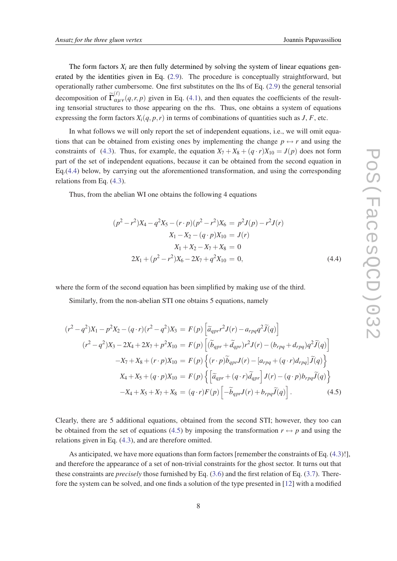The form factors  $X_i$  are then fully determined by solving the system of linear equations generated by the identities given in Eq. ([2.9\)](#page-4-0). The procedure is conceptually straightforward, but operationally rather cumbersome. One first substitutes on the lhs of Eq. [\(2.9\)](#page-4-0) the general tensorial decomposition of  $\tilde{\Gamma}^{(\ell)}_{\alpha\mu\nu}(q,r,p)$  given in Eq. [\(4.1](#page-6-0)), and then equates the coefficients of the resulting tensorial structures to those appearing on the rhs. Thus, one obtains a system of equations expressing the form factors  $X_i(q, p, r)$  in terms of combinations of quantities such as *J*, *F*, etc.

In what follows we will only report the set of independent equations, i.e., we will omit equations that can be obtained from existing ones by implementing the change  $p \leftrightarrow r$  and using the constraints of [\(4.3\)](#page-6-0). Thus, for example, the equation  $X_7 + X_8 + (q \cdot r)X_{10} = J(p)$  does not form part of the set of independent equations, because it can be obtained from the second equation in Eq.(4.4) below, by carrying out the aforementioned transformation, and using the corresponding relations from Eq. ([4.3](#page-6-0)).

Thus, from the abelian WI one obtains the following 4 equations

$$
(p^{2} - r^{2})X_{4} - q^{2}X_{5} - (r \cdot p)(p^{2} - r^{2})X_{6} = p^{2}J(p) - r^{2}J(r)
$$
  
\n
$$
X_{1} - X_{2} - (q \cdot p)X_{10} = J(r)
$$
  
\n
$$
X_{1} + X_{2} - X_{7} + X_{8} = 0
$$
  
\n
$$
2X_{1} + (p^{2} - r^{2})X_{6} - 2X_{7} + q^{2}X_{10} = 0,
$$
\n(4.4)

where the form of the second equation has been simplified by making use of the third.

Similarly, from the non-abelian STI one obtains 5 equations, namely

$$
(r^{2} - q^{2})X_{1} - p^{2}X_{2} - (q \cdot r)(r^{2} - q^{2})X_{3} = F(p) \left[ \tilde{a}_{qpr}r^{2}J(r) - a_{rpq}q^{2}\tilde{J}(q) \right]
$$
  

$$
(r^{2} - q^{2})X_{3} - 2X_{4} + 2X_{7} + p^{2}X_{10} = F(p) \left[ (\tilde{b}_{qpr} + \tilde{d}_{qpr})r^{2}J(r) - (b_{rpq} + d_{rpq})q^{2}\tilde{J}(q) \right]
$$
  

$$
-X_{7} + X_{8} + (r \cdot p)X_{10} = F(p) \left\{ (r \cdot p)\tilde{b}_{qpr}J(r) - [a_{rpq} + (q \cdot r)d_{rpq}] \tilde{J}(q) \right\}
$$
  

$$
X_{4} + X_{5} + (q \cdot p)X_{10} = F(p) \left\{ \left[ \tilde{a}_{qpr} + (q \cdot r)\tilde{d}_{qpr} \right]J(r) - (q \cdot p)b_{rpq}\tilde{J}(q) \right\}
$$
  

$$
-X_{4} + X_{5} + X_{7} + X_{8} = (q \cdot r)F(p) \left[ -\tilde{b}_{qpr}J(r) + b_{rpq}\tilde{J}(q) \right].
$$
 (4.5)

Clearly, there are 5 additional equations, obtained from the second STI; however, they too can be obtained from the set of equations (4.5) by imposing the transformation  $r \leftrightarrow p$  and using the relations given in Eq. ([4.3](#page-6-0)), and are therefore omitted.

As anticipated, we have more equations than form factors [remember the constraints of Eq. [\(4.3\)](#page-6-0)!], and therefore the appearance of a set of non-trivial constraints for the ghost sector. It turns out that these constraints are *precisely* those furnished by Eq. [\(3.6](#page-5-0)) and the first relation of Eq. ([3.7](#page-5-0)). Therefore the system can be solved, and one finds a solution of the type presented in [\[12](#page-9-0)] with a modified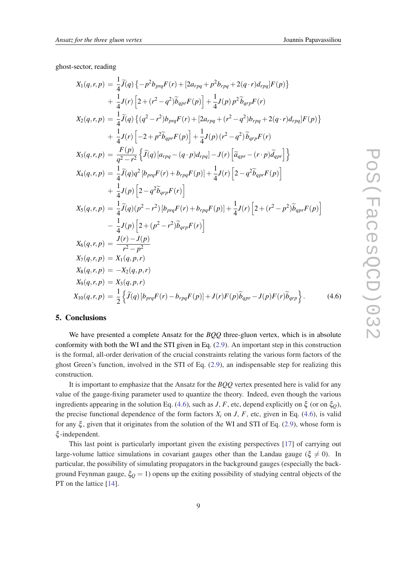ghost-sector, reading

$$
X_{1}(q,r,p) = \frac{1}{4}\tilde{J}(q)\{-p^{2}b_{pq}F(r)+[2a_{rpq}+p^{2}b_{rpq}+2(q\cdot r)d_{rpq}]F(p)\} + \frac{1}{4}J(r)\left[2+(r^{2}-q^{2})\tilde{b}_{qpr}F(p)\right]+\frac{1}{4}J(p)p^{2}\tilde{b}_{qrp}F(r) X_{2}(q,r,p) = \frac{1}{4}\tilde{J}(q)\{(q^{2}-r^{2})b_{pq}F(r)+[2a_{rpq}+(r^{2}-q^{2})b_{rpq}+2(q\cdot r)d_{rpq}]F(p)\} + \frac{1}{4}J(r)\left[-2+p^{2}\tilde{b}_{qpr}F(p)\right]+\frac{1}{4}J(p)(r^{2}-q^{2})\tilde{b}_{qrp}F(r) X_{3}(q,r,p) = \frac{F(p)}{q^{2}-r^{2}}\{\tilde{J}(q)[a_{rpq}-(q\cdot p)d_{rpq}]-J(r)\left[\tilde{a}_{qrr}-(r\cdot p)\tilde{d}_{qrr}\right]\} X_{4}(q,r,p) = \frac{1}{4}\tilde{J}(q)q^{2}[b_{prq}F(r)+b_{rpq}F(p)]+\frac{1}{4}J(r)\left[2-q^{2}\tilde{b}_{qpr}F(p)\right] + \frac{1}{4}J(p)\left[2-q^{2}\tilde{b}_{qrp}F(r)\right] X_{5}(q,r,p) = \frac{1}{4}\tilde{J}(q)(p^{2}-r^{2})[b_{prq}F(r)+b_{rpq}F(p)]+\frac{1}{4}J(r)\left[2+(r^{2}-p^{2})\tilde{b}_{qrp}F(p)\right] - \frac{1}{4}J(p)\left[2+(p^{2}-r^{2})\tilde{b}_{qrp}F(r)\right] X_{6}(q,r,p) = \frac{J(r)-J(p)}{r^{2}-p^{2}} X_{7}(q,r,p) = X_{1}(q,p,r) X_{8}(q,r,p) = X_{3}(q,p,r) X_{9}(q,r,p) = X_{3}(q,p,r) X_{10}(q,r,p) = \frac{1}{2}\{\tilde{J}(q)[b_{prq}F(r)-b_{rpq}F(p)]+J(r)F(p)\tilde{b}_{qpr}-J(p)F(r)\tilde{b}_{qrp}\}.
$$
 (4.6)

### 5. Conclusions

We have presented a complete Ansatz for the *BQQ* three-gluon vertex, which is in absolute conformity with both the WI and the STI given in Eq. ([2.9](#page-4-0)). An important step in this construction is the formal, all-order derivation of the crucial constraints relating the various form factors of the ghost Green's function, involved in the STI of Eq. [\(2.9\)](#page-4-0), an indispensable step for realizing this construction.

It is important to emphasize that the Ansatz for the *BQQ* vertex presented here is valid for any value of the gauge-fixing parameter used to quantize the theory. Indeed, even though the various ingredients appearing in the solution Eq. (4.6), such as *J*, *F*, etc, depend explicitly on  $\xi$  (or on  $\xi$ <sub>*O*</sub>), the precise functional dependence of the form factors  $X_i$  on  $J$ ,  $F$ , etc, given in Eq. (4.6), is valid for any  $\xi$ , given that it originates from the solution of the WI and STI of Eq. ([2.9](#page-4-0)), whose form is ξ -independent.

This last point is particularly important given the existing perspectives [[17\]](#page-9-0) of carrying out large-volume lattice simulations in covariant gauges other than the Landau gauge ( $\xi \neq 0$ ). In particular, the possibility of simulating propagators in the background gauges (especially the background Feynman gauge,  $\xi_Q = 1$ ) opens up the exiting possibility of studying central objects of the PT on the lattice [[14](#page-9-0)].